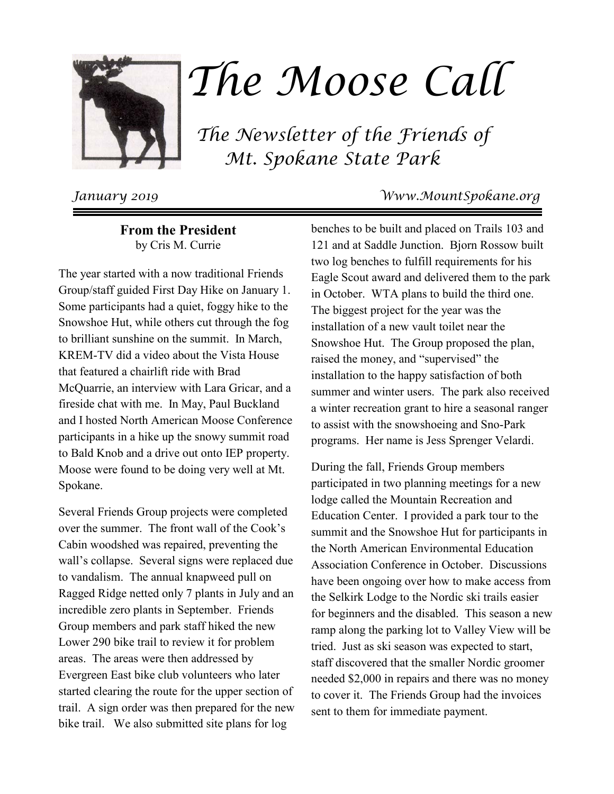

# The Moose Call

 The Newsletter of the Friends of Mt. Spokane State Park

**From the President** by Cris M. Currie

The year started with a now traditional Friends Group/staff guided First Day Hike on January 1. Some participants had a quiet, foggy hike to the Snowshoe Hut, while others cut through the fog to brilliant sunshine on the summit. In March, KREM-TV did a video about the Vista House that featured a chairlift ride with Brad McQuarrie, an interview with Lara Gricar, and a fireside chat with me. In May, Paul Buckland and I hosted North American Moose Conference participants in a hike up the snowy summit road to Bald Knob and a drive out onto IEP property. Moose were found to be doing very well at Mt. Spokane.

Several Friends Group projects were completed over the summer. The front wall of the Cook's Cabin woodshed was repaired, preventing the wall's collapse. Several signs were replaced due to vandalism. The annual knapweed pull on Ragged Ridge netted only 7 plants in July and an incredible zero plants in September. Friends Group members and park staff hiked the new Lower 290 bike trail to review it for problem areas. The areas were then addressed by Evergreen East bike club volunteers who later started clearing the route for the upper section of trail. A sign order was then prepared for the new bike trail. We also submitted site plans for log

## January 2019 Www.MountSpokane.org

benches to be built and placed on Trails 103 and 121 and at Saddle Junction. Bjorn Rossow built two log benches to fulfill requirements for his Eagle Scout award and delivered them to the park in October. WTA plans to build the third one. The biggest project for the year was the installation of a new vault toilet near the Snowshoe Hut. The Group proposed the plan, raised the money, and "supervised" the installation to the happy satisfaction of both summer and winter users. The park also received a winter recreation grant to hire a seasonal ranger to assist with the snowshoeing and Sno-Park programs. Her name is Jess Sprenger Velardi.

During the fall, Friends Group members participated in two planning meetings for a new lodge called the Mountain Recreation and Education Center. I provided a park tour to the summit and the Snowshoe Hut for participants in the North American Environmental Education Association Conference in October. Discussions have been ongoing over how to make access from the Selkirk Lodge to the Nordic ski trails easier for beginners and the disabled. This season a new ramp along the parking lot to Valley View will be tried. Just as ski season was expected to start, staff discovered that the smaller Nordic groomer needed \$2,000 in repairs and there was no money to cover it. The Friends Group had the invoices sent to them for immediate payment.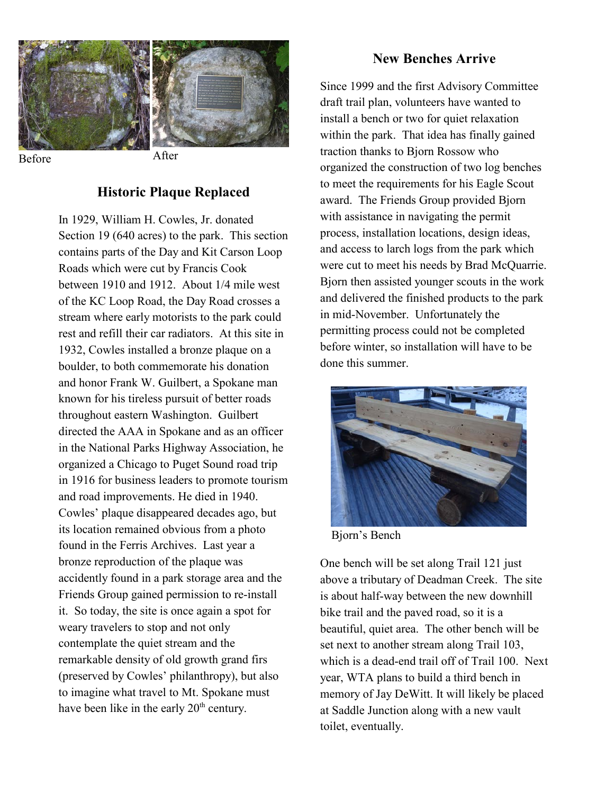

#### **Historic Plaque Replaced**

In 1929, William H. Cowles, Jr. donated Section 19 (640 acres) to the park. This section contains parts of the Day and Kit Carson Loop Roads which were cut by Francis Cook between 1910 and 1912. About 1/4 mile west of the KC Loop Road, the Day Road crosses a stream where early motorists to the park could rest and refill their car radiators. At this site in 1932, Cowles installed a bronze plaque on a boulder, to both commemorate his donation and honor Frank W. Guilbert, a Spokane man known for his tireless pursuit of better roads throughout eastern Washington. Guilbert directed the AAA in Spokane and as an officer in the National Parks Highway Association, he organized a Chicago to Puget Sound road trip in 1916 for business leaders to promote tourism and road improvements. He died in 1940. Cowles' plaque disappeared decades ago, but its location remained obvious from a photo found in the Ferris Archives. Last year a bronze reproduction of the plaque was accidently found in a park storage area and the Friends Group gained permission to re-install it. So today, the site is once again a spot for weary travelers to stop and not only contemplate the quiet stream and the remarkable density of old growth grand firs (preserved by Cowles' philanthropy), but also to imagine what travel to Mt. Spokane must have been like in the early 20<sup>th</sup> century.

#### **New Benches Arrive**

Since 1999 and the first Advisory Committee draft trail plan, volunteers have wanted to install a bench or two for quiet relaxation within the park. That idea has finally gained traction thanks to Bjorn Rossow who organized the construction of two log benches to meet the requirements for his Eagle Scout award. The Friends Group provided Bjorn with assistance in navigating the permit process, installation locations, design ideas, and access to larch logs from the park which were cut to meet his needs by Brad McQuarrie. Bjorn then assisted younger scouts in the work and delivered the finished products to the park in mid-November. Unfortunately the permitting process could not be completed before winter, so installation will have to be done this summer.



Bjorn's Bench

One bench will be set along Trail 121 just above a tributary of Deadman Creek. The site is about half-way between the new downhill bike trail and the paved road, so it is a beautiful, quiet area. The other bench will be set next to another stream along Trail 103, which is a dead-end trail off of Trail 100. Next year, WTA plans to build a third bench in memory of Jay DeWitt. It will likely be placed at Saddle Junction along with a new vault toilet, eventually.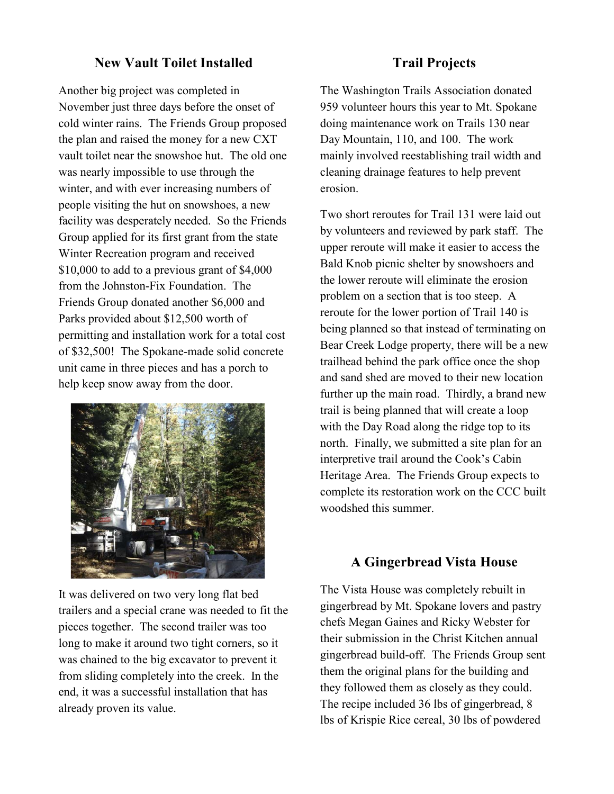## **New Vault Toilet Installed**

Another big project was completed in November just three days before the onset of cold winter rains. The Friends Group proposed the plan and raised the money for a new CXT vault toilet near the snowshoe hut. The old one was nearly impossible to use through the winter, and with ever increasing numbers of people visiting the hut on snowshoes, a new facility was desperately needed. So the Friends Group applied for its first grant from the state Winter Recreation program and received \$10,000 to add to a previous grant of \$4,000 from the Johnston-Fix Foundation. The Friends Group donated another \$6,000 and Parks provided about \$12,500 worth of permitting and installation work for a total cost of \$32,500! The Spokane-made solid concrete unit came in three pieces and has a porch to help keep snow away from the door.



It was delivered on two very long flat bed trailers and a special crane was needed to fit the pieces together. The second trailer was too long to make it around two tight corners, so it was chained to the big excavator to prevent it from sliding completely into the creek. In the end, it was a successful installation that has already proven its value.

#### **Trail Projects**

The Washington Trails Association donated 959 volunteer hours this year to Mt. Spokane doing maintenance work on Trails 130 near Day Mountain, 110, and 100. The work mainly involved reestablishing trail width and cleaning drainage features to help prevent erosion.

Two short reroutes for Trail 131 were laid out by volunteers and reviewed by park staff. The upper reroute will make it easier to access the Bald Knob picnic shelter by snowshoers and the lower reroute will eliminate the erosion problem on a section that is too steep. A reroute for the lower portion of Trail 140 is being planned so that instead of terminating on Bear Creek Lodge property, there will be a new trailhead behind the park office once the shop and sand shed are moved to their new location further up the main road. Thirdly, a brand new trail is being planned that will create a loop with the Day Road along the ridge top to its north. Finally, we submitted a site plan for an interpretive trail around the Cook's Cabin Heritage Area. The Friends Group expects to complete its restoration work on the CCC built woodshed this summer.

#### **A Gingerbread Vista House**

The Vista House was completely rebuilt in gingerbread by Mt. Spokane lovers and pastry chefs Megan Gaines and Ricky Webster for their submission in the Christ Kitchen annual gingerbread build-off. The Friends Group sent them the original plans for the building and they followed them as closely as they could. The recipe included 36 lbs of gingerbread, 8 lbs of Krispie Rice cereal, 30 lbs of powdered